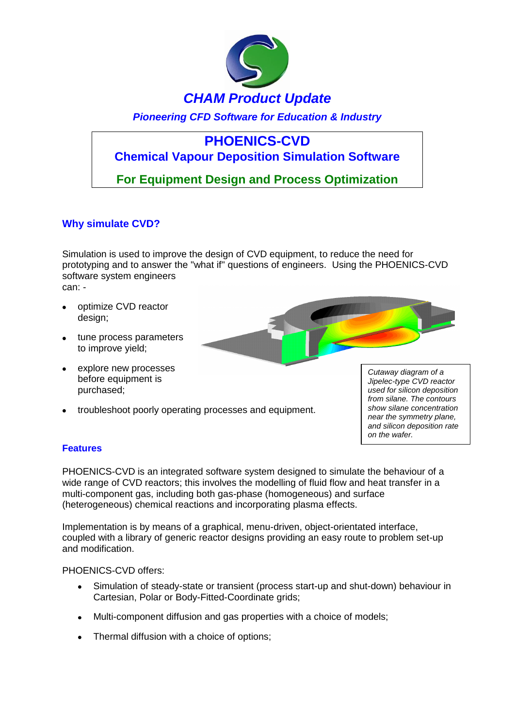

*Pioneering CFD Software for Education & Industry*

# **PHOENICS-CVD**

## **Chemical Vapour Deposition Simulation Software**

**For Equipment Design and Process Optimization**

### **Why simulate CVD?**

Simulation is used to improve the design of CVD equipment, to reduce the need for prototyping and to answer the "what if" questions of engineers. Using the PHOENICS-CVD software system engineers can: -

- optimize CVD reactor design:
- tune process parameters to improve yield;
- explore new processes before equipment is purchased;
- troubleshoot poorly operating processes and equipment.

*Cutaway diagram of a Jipelec-type CVD reactor used for silicon deposition from silane. The contours show silane concentration near the symmetry plane, and silicon deposition rate on the wafer.*

### **Features**

PHOENICS-CVD is an integrated software system designed to simulate the behaviour of a wide range of CVD reactors; this involves the modelling of fluid flow and heat transfer in a multi-component gas, including both gas-phase (homogeneous) and surface (heterogeneous) chemical reactions and incorporating plasma effects.

Implementation is by means of a graphical, menu-driven, object-orientated interface, coupled with a library of generic reactor designs providing an easy route to problem set-up and modification.

PHOENICS-CVD offers:

- Simulation of steady-state or transient (process start-up and shut-down) behaviour in  $\bullet$ Cartesian, Polar or Body-Fitted-Coordinate grids;
- Multi-component diffusion and gas properties with a choice of models;  $\bullet$
- Thermal diffusion with a choice of options;